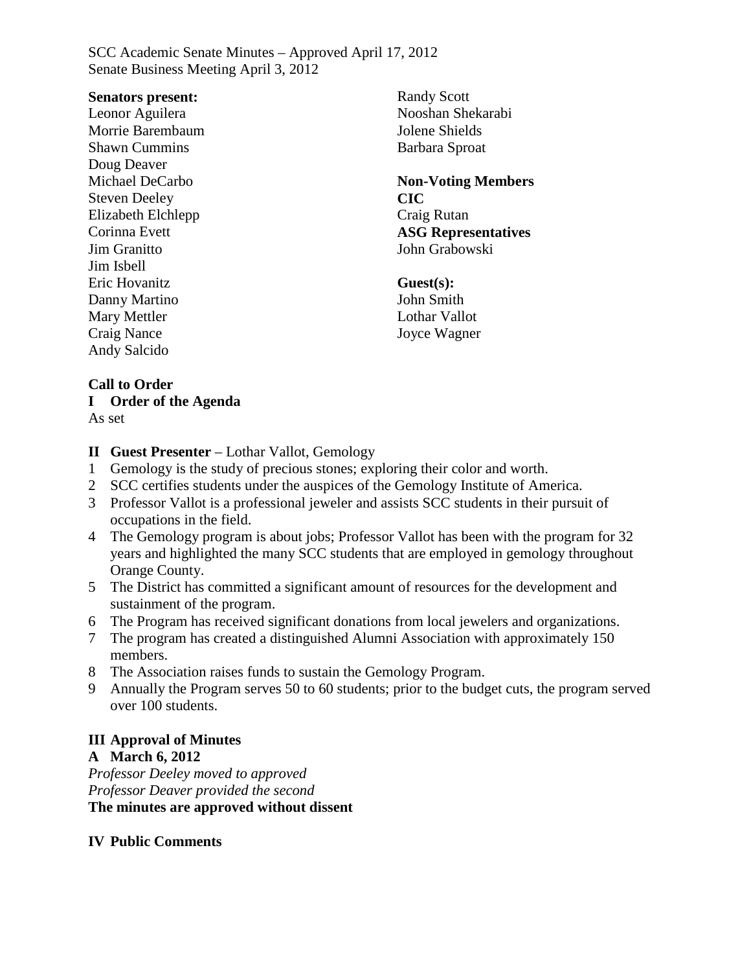#### **Senators present:**

Leonor Aguilera Morrie Barembaum Shawn Cummins Doug Deaver Michael DeCarbo Steven Deeley Elizabeth Elchlepp Corinna Evett Jim Granitto Jim Isbell Eric Hovanitz Danny Martino Mary Mettler Craig Nance Andy Salcido

Randy Scott Nooshan Shekarabi Jolene Shields Barbara Sproat

**Non-Voting Members CIC** Craig Rutan **ASG Representatives** John Grabowski

#### **Guest(s):**

John Smith Lothar Vallot Joyce Wagner

### **Call to Order**

**I Order of the Agenda**

As set

### **II Guest Presenter** – Lothar Vallot, Gemology

- 1 Gemology is the study of precious stones; exploring their color and worth.
- 2 SCC certifies students under the auspices of the Gemology Institute of America.
- 3 Professor Vallot is a professional jeweler and assists SCC students in their pursuit of occupations in the field.
- 4 The Gemology program is about jobs; Professor Vallot has been with the program for 32 years and highlighted the many SCC students that are employed in gemology throughout Orange County.
- 5 The District has committed a significant amount of resources for the development and sustainment of the program.
- 6 The Program has received significant donations from local jewelers and organizations.
- 7 The program has created a distinguished Alumni Association with approximately 150 members.
- 8 The Association raises funds to sustain the Gemology Program.
- 9 Annually the Program serves 50 to 60 students; prior to the budget cuts, the program served over 100 students.

# **III Approval of Minutes**

### **A March 6, 2012**

*Professor Deeley moved to approved Professor Deaver provided the second* **The minutes are approved without dissent**

### **IV Public Comments**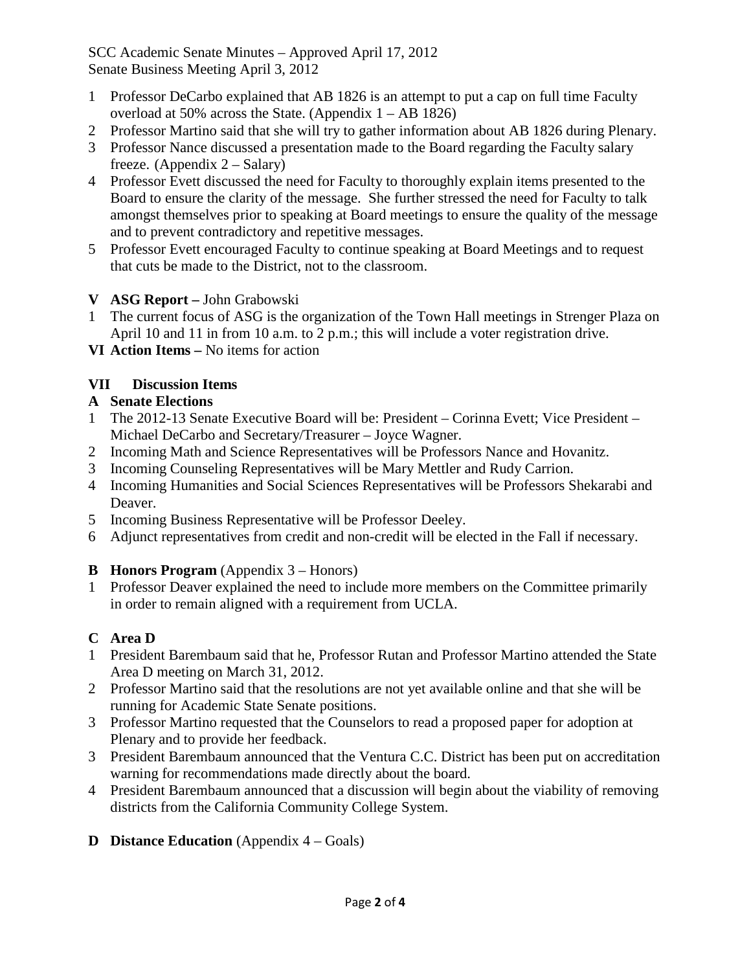- 1 Professor DeCarbo explained that AB 1826 is an attempt to put a cap on full time Faculty overload at 50% across the State. (Appendix 1 – AB 1826)
- 2 Professor Martino said that she will try to gather information about AB 1826 during Plenary.
- 3 Professor Nance discussed a presentation made to the Board regarding the Faculty salary freeze. (Appendix  $2 - Salary$ )
- 4 Professor Evett discussed the need for Faculty to thoroughly explain items presented to the Board to ensure the clarity of the message. She further stressed the need for Faculty to talk amongst themselves prior to speaking at Board meetings to ensure the quality of the message and to prevent contradictory and repetitive messages.
- 5 Professor Evett encouraged Faculty to continue speaking at Board Meetings and to request that cuts be made to the District, not to the classroom.

# **V ASG Report –** John Grabowski

- 1 The current focus of ASG is the organization of the Town Hall meetings in Strenger Plaza on April 10 and 11 in from 10 a.m. to 2 p.m.; this will include a voter registration drive.
- **VI Action Items –** No items for action

# **VII Discussion Items**

- **A Senate Elections**
- 1 The 2012-13 Senate Executive Board will be: President Corinna Evett; Vice President Michael DeCarbo and Secretary/Treasurer – Joyce Wagner.
- 2 Incoming Math and Science Representatives will be Professors Nance and Hovanitz.
- Incoming Counseling Representatives will be Mary Mettler and Rudy Carrion.
- 4 Incoming Humanities and Social Sciences Representatives will be Professors Shekarabi and Deaver.
- 5 Incoming Business Representative will be Professor Deeley.
- 6 Adjunct representatives from credit and non-credit will be elected in the Fall if necessary.

# **B Honors Program** (Appendix 3 – Honors)

1 Professor Deaver explained the need to include more members on the Committee primarily in order to remain aligned with a requirement from UCLA.

# **C Area D**

- 1 President Barembaum said that he, Professor Rutan and Professor Martino attended the State Area D meeting on March 31, 2012.
- 2 Professor Martino said that the resolutions are not yet available online and that she will be running for Academic State Senate positions.
- 3 Professor Martino requested that the Counselors to read a proposed paper for adoption at Plenary and to provide her feedback.
- 3 President Barembaum announced that the Ventura C.C. District has been put on accreditation warning for recommendations made directly about the board.
- 4 President Barembaum announced that a discussion will begin about the viability of removing districts from the California Community College System.

# **D Distance Education** (Appendix 4 – Goals)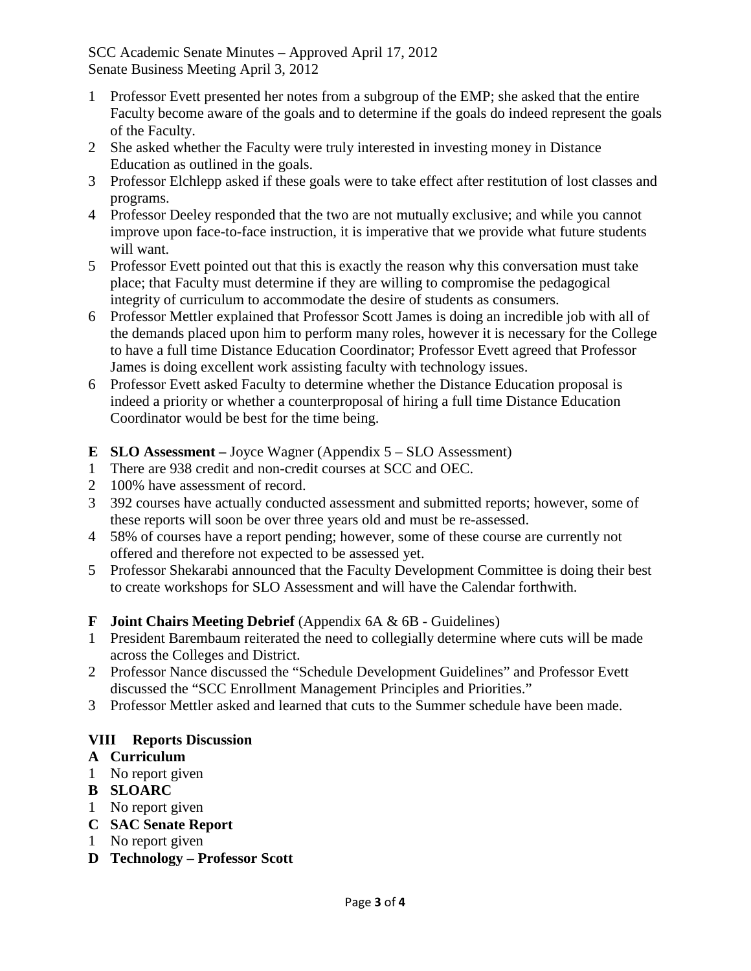- 1 Professor Evett presented her notes from a subgroup of the EMP; she asked that the entire Faculty become aware of the goals and to determine if the goals do indeed represent the goals of the Faculty.
- 2 She asked whether the Faculty were truly interested in investing money in Distance Education as outlined in the goals.
- 3 Professor Elchlepp asked if these goals were to take effect after restitution of lost classes and programs.
- 4 Professor Deeley responded that the two are not mutually exclusive; and while you cannot improve upon face-to-face instruction, it is imperative that we provide what future students will want.
- 5 Professor Evett pointed out that this is exactly the reason why this conversation must take place; that Faculty must determine if they are willing to compromise the pedagogical integrity of curriculum to accommodate the desire of students as consumers.
- 6 Professor Mettler explained that Professor Scott James is doing an incredible job with all of the demands placed upon him to perform many roles, however it is necessary for the College to have a full time Distance Education Coordinator; Professor Evett agreed that Professor James is doing excellent work assisting faculty with technology issues.
- 6 Professor Evett asked Faculty to determine whether the Distance Education proposal is indeed a priority or whether a counterproposal of hiring a full time Distance Education Coordinator would be best for the time being.
- **E SLO Assessment –** Joyce Wagner (Appendix 5 SLO Assessment)
- 1 There are 938 credit and non-credit courses at SCC and OEC.
- 2 100% have assessment of record.
- 3 392 courses have actually conducted assessment and submitted reports; however, some of these reports will soon be over three years old and must be re-assessed.
- 4 58% of courses have a report pending; however, some of these course are currently not offered and therefore not expected to be assessed yet.
- 5 Professor Shekarabi announced that the Faculty Development Committee is doing their best to create workshops for SLO Assessment and will have the Calendar forthwith.

# **F Joint Chairs Meeting Debrief** (Appendix 6A & 6B - Guidelines)

- 1 President Barembaum reiterated the need to collegially determine where cuts will be made across the Colleges and District.
- 2 Professor Nance discussed the "Schedule Development Guidelines" and Professor Evett discussed the "SCC Enrollment Management Principles and Priorities."
- 3 Professor Mettler asked and learned that cuts to the Summer schedule have been made.

# **VIII Reports Discussion**

# **A Curriculum**

- 1 No report given
- **B SLOARC**
- 1 No report given
- **C SAC Senate Report**
- 1 No report given
- **D Technology – Professor Scott**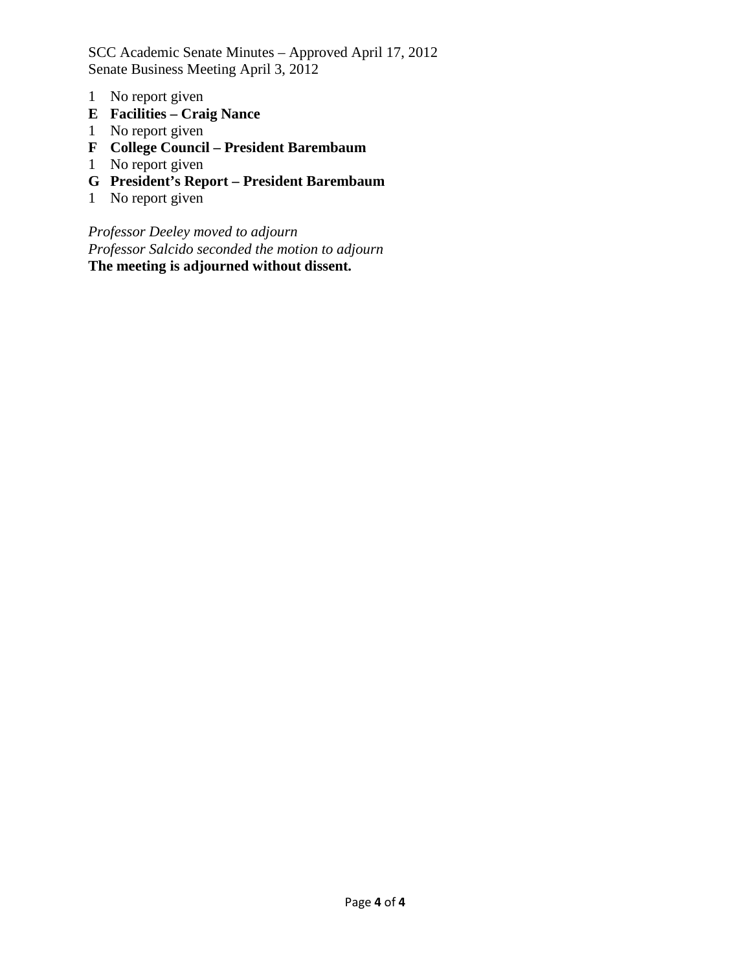- 1 No report given
- **E Facilities – Craig Nance**
- 1 No report given
- **F College Council – President Barembaum**
- 1 No report given
- **G President's Report – President Barembaum**
- 1 No report given

*Professor Deeley moved to adjourn Professor Salcido seconded the motion to adjourn* **The meeting is adjourned without dissent.**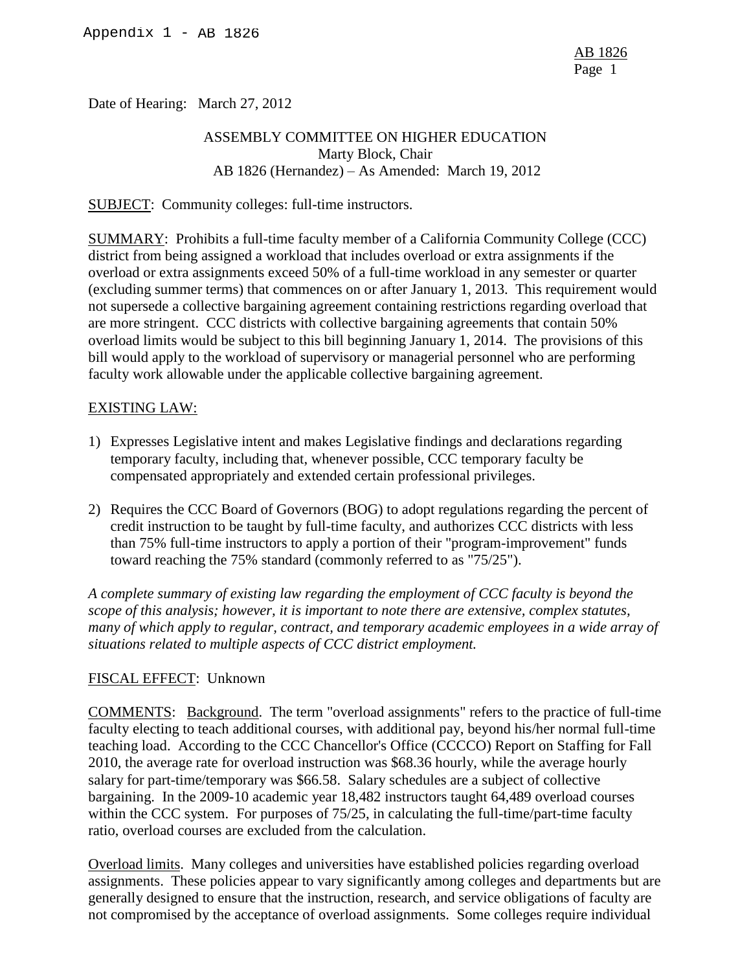Date of Hearing: March 27, 2012

# ASSEMBLY COMMITTEE ON HIGHER EDUCATION Marty Block, Chair AB 1826 (Hernandez) – As Amended: March 19, 2012

SUBJECT: Community colleges: full-time instructors.

SUMMARY: Prohibits a full-time faculty member of a California Community College (CCC) district from being assigned a workload that includes overload or extra assignments if the overload or extra assignments exceed 50% of a full-time workload in any semester or quarter (excluding summer terms) that commences on or after January 1, 2013. This requirement would not supersede a collective bargaining agreement containing restrictions regarding overload that are more stringent. CCC districts with collective bargaining agreements that contain 50% overload limits would be subject to this bill beginning January 1, 2014. The provisions of this bill would apply to the workload of supervisory or managerial personnel who are performing faculty work allowable under the applicable collective bargaining agreement.

#### EXISTING LAW:

- 1) Expresses Legislative intent and makes Legislative findings and declarations regarding temporary faculty, including that, whenever possible, CCC temporary faculty be compensated appropriately and extended certain professional privileges.
- 2) Requires the CCC Board of Governors (BOG) to adopt regulations regarding the percent of credit instruction to be taught by full-time faculty, and authorizes CCC districts with less than 75% full-time instructors to apply a portion of their "program-improvement" funds toward reaching the 75% standard (commonly referred to as "75/25").

*A complete summary of existing law regarding the employment of CCC faculty is beyond the scope of this analysis; however, it is important to note there are extensive, complex statutes, many of which apply to regular, contract, and temporary academic employees in a wide array of situations related to multiple aspects of CCC district employment.* 

#### FISCAL EFFECT: Unknown

COMMENTS: Background. The term "overload assignments" refers to the practice of full-time faculty electing to teach additional courses, with additional pay, beyond his/her normal full-time teaching load. According to the CCC Chancellor's Office (CCCCO) Report on Staffing for Fall 2010, the average rate for overload instruction was \$68.36 hourly, while the average hourly salary for part-time/temporary was \$66.58. Salary schedules are a subject of collective bargaining. In the 2009-10 academic year 18,482 instructors taught 64,489 overload courses within the CCC system. For purposes of 75/25, in calculating the full-time/part-time faculty ratio, overload courses are excluded from the calculation.

Overload limits. Many colleges and universities have established policies regarding overload assignments. These policies appear to vary significantly among colleges and departments but are generally designed to ensure that the instruction, research, and service obligations of faculty are not compromised by the acceptance of overload assignments. Some colleges require individual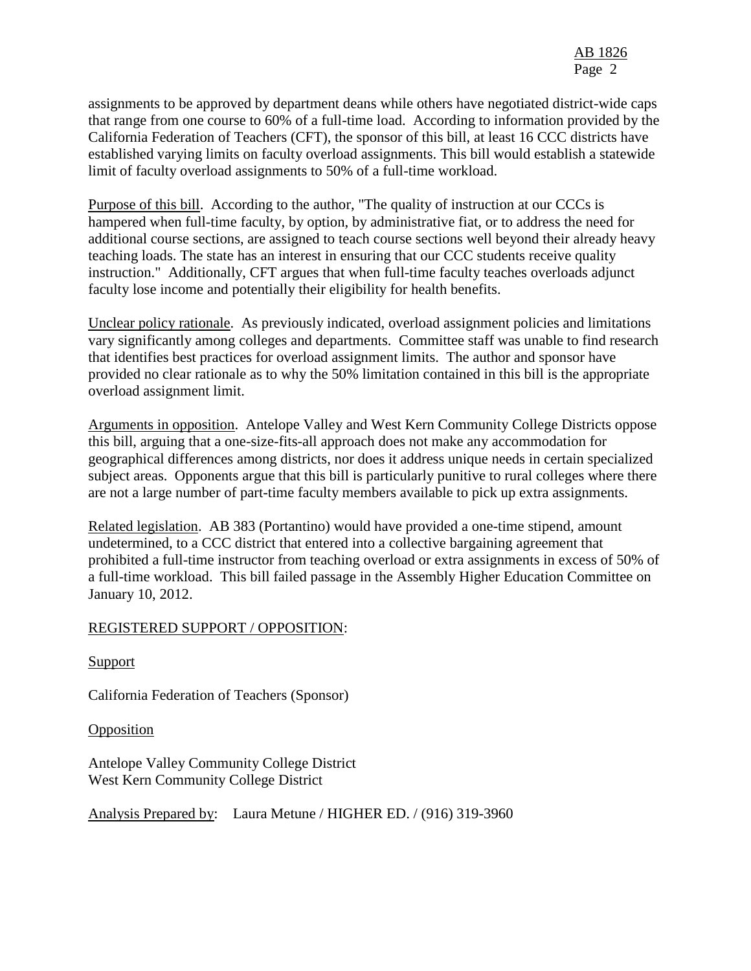assignments to be approved by department deans while others have negotiated district-wide caps that range from one course to 60% of a full-time load. According to information provided by the California Federation of Teachers (CFT), the sponsor of this bill, at least 16 CCC districts have established varying limits on faculty overload assignments. This bill would establish a statewide limit of faculty overload assignments to 50% of a full-time workload.

Purpose of this bill. According to the author, "The quality of instruction at our CCCs is hampered when full-time faculty, by option, by administrative fiat, or to address the need for additional course sections, are assigned to teach course sections well beyond their already heavy teaching loads. The state has an interest in ensuring that our CCC students receive quality instruction." Additionally, CFT argues that when full-time faculty teaches overloads adjunct faculty lose income and potentially their eligibility for health benefits.

Unclear policy rationale. As previously indicated, overload assignment policies and limitations vary significantly among colleges and departments. Committee staff was unable to find research that identifies best practices for overload assignment limits. The author and sponsor have provided no clear rationale as to why the 50% limitation contained in this bill is the appropriate overload assignment limit.

Arguments in opposition. Antelope Valley and West Kern Community College Districts oppose this bill, arguing that a one-size-fits-all approach does not make any accommodation for geographical differences among districts, nor does it address unique needs in certain specialized subject areas. Opponents argue that this bill is particularly punitive to rural colleges where there are not a large number of part-time faculty members available to pick up extra assignments.

Related legislation. AB 383 (Portantino) would have provided a one-time stipend, amount undetermined, to a CCC district that entered into a collective bargaining agreement that prohibited a full-time instructor from teaching overload or extra assignments in excess of 50% of a full-time workload. This bill failed passage in the Assembly Higher Education Committee on January 10, 2012.

#### REGISTERED SUPPORT / OPPOSITION:

Support

California Federation of Teachers (Sponsor)

Opposition

Antelope Valley Community College District West Kern Community College District

Analysis Prepared by: Laura Metune / HIGHER ED. / (916) 319-3960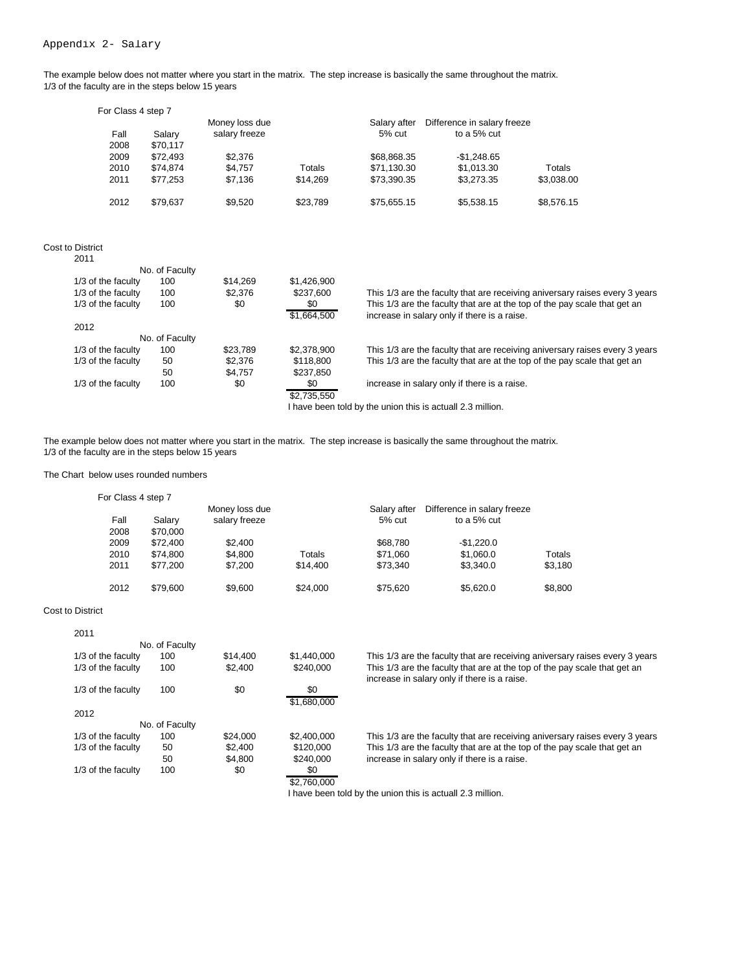The example below does not matter where you start in the matrix. The step increase is basically the same throughout the matrix. 1/3 of the faculty are in the steps below 15 years

| For Class 4 step 7 |          |                |          |              |                             |            |
|--------------------|----------|----------------|----------|--------------|-----------------------------|------------|
|                    |          | Money loss due |          | Salary after | Difference in salary freeze |            |
| Fall               | Salary   | salary freeze  |          | $5%$ cut     | to a 5% cut                 |            |
| 2008               | \$70.117 |                |          |              |                             |            |
| 2009               | \$72.493 | \$2,376        |          | \$68,868.35  | $-$1,248.65$                |            |
| 2010               | \$74.874 | \$4,757        | Totals   | \$71,130.30  | \$1,013.30                  | Totals     |
| 2011               | \$77,253 | \$7.136        | \$14,269 | \$73,390,35  | \$3.273.35                  | \$3,038.00 |
| 2012               | \$79,637 | \$9,520        | \$23,789 | \$75,655.15  | \$5,538.15                  | \$8,576.15 |

#### Cost to District  $2011$

| No. of Faculty |          |             |                                                                             |
|----------------|----------|-------------|-----------------------------------------------------------------------------|
| 100            | \$14,269 | \$1,426,900 |                                                                             |
| 100            | \$2,376  | \$237,600   | This 1/3 are the faculty that are receiving aniversary raises every 3 years |
| 100            | \$0      | \$0         | This 1/3 are the faculty that are at the top of the pay scale that get an   |
|                |          | \$1,664,500 | increase in salary only if there is a raise.                                |
|                |          |             |                                                                             |
| No. of Faculty |          |             |                                                                             |
| 100            | \$23,789 | \$2,378,900 | This 1/3 are the faculty that are receiving aniversary raises every 3 years |
| 50             | \$2,376  | \$118,800   | This 1/3 are the faculty that are at the top of the pay scale that get an   |
| 50             | \$4.757  | \$237,850   |                                                                             |
| 100            | \$0      | \$0         | increase in salary only if there is a raise.                                |
|                |          | \$2,735,550 |                                                                             |
|                |          |             | I have been told by the union this is actuall 2.3 million.                  |
|                |          |             |                                                                             |

The example below does not matter where you start in the matrix. The step increase is basically the same throughout the matrix. 1/3 of the faculty are in the steps below 15 years

#### The Chart below uses rounded numbers

| For Class 4 step 7 |          |                |          |              |                             |         |
|--------------------|----------|----------------|----------|--------------|-----------------------------|---------|
|                    |          | Money loss due |          | Salary after | Difference in salary freeze |         |
| Fall               | Salary   | salary freeze  |          | 5% cut       | to a 5% cut                 |         |
| 2008               | \$70,000 |                |          |              |                             |         |
| 2009               | \$72,400 | \$2,400        |          | \$68,780     | $-$1,220.0$                 |         |
| 2010               | \$74,800 | \$4,800        | Totals   | \$71,060     | \$1,060.0                   | Totals  |
| 2011               | \$77.200 | \$7.200        | \$14,400 | \$73,340     | \$3,340.0                   | \$3,180 |
| 2012               | \$79,600 | \$9,600        | \$24,000 | \$75,620     | \$5,620.0                   | \$8,800 |

#### Cost to District

| 2011               |                |          |                    |                                                                                                                           |
|--------------------|----------------|----------|--------------------|---------------------------------------------------------------------------------------------------------------------------|
|                    | No. of Faculty |          |                    |                                                                                                                           |
| 1/3 of the faculty | 100            | \$14,400 | \$1,440,000        | This 1/3 are the faculty that are receiving aniversary raises every 3 years                                               |
| 1/3 of the faculty | 100            | \$2,400  | \$240,000          | This 1/3 are the faculty that are at the top of the pay scale that get an<br>increase in salary only if there is a raise. |
| 1/3 of the faculty | 100            | \$0      | \$0<br>\$1,680,000 |                                                                                                                           |
| 2012               |                |          |                    |                                                                                                                           |
|                    | No. of Faculty |          |                    |                                                                                                                           |
| 1/3 of the faculty | 100            | \$24,000 | \$2,400,000        | This 1/3 are the faculty that are receiving aniversary raises every 3 years                                               |
| 1/3 of the faculty | 50             | \$2.400  | \$120,000          | This 1/3 are the faculty that are at the top of the pay scale that get an                                                 |
|                    | 50             | \$4,800  | \$240,000          | increase in salary only if there is a raise.                                                                              |
| 1/3 of the faculty | 100            | \$0      | \$0                |                                                                                                                           |
|                    |                |          | \$2,760,000        |                                                                                                                           |

I have been told by the union this is actuall 2.3 million.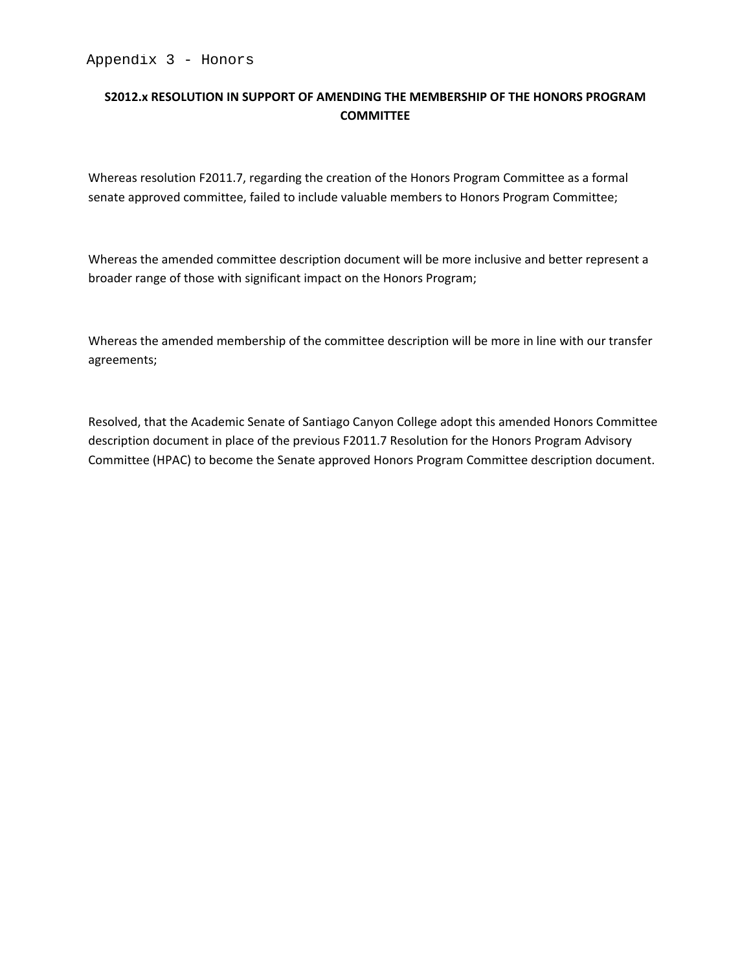### S2012.x RESOLUTION IN SUPPORT OF AMENDING THE MEMBERSHIP OF THE HONORS PROGRAM **COMMITTEE**

Whereas resolution F2011.7, regarding the creation of the Honors Program Committee as a formal senate approved committee, failed to include valuable members to Honors Program Committee;

Whereas the amended committee description document will be more inclusive and better represent a broader range of those with significant impact on the Honors Program;

Whereas the amended membership of the committee description will be more in line with our transfer agreements;

Resolved, that the Academic Senate of Santiago Canyon College adopt this amended Honors Committee description document in place of the previous F2011.7 Resolution for the Honors Program Advisory Committee (HPAC) to become the Senate approved Honors Program Committee description document.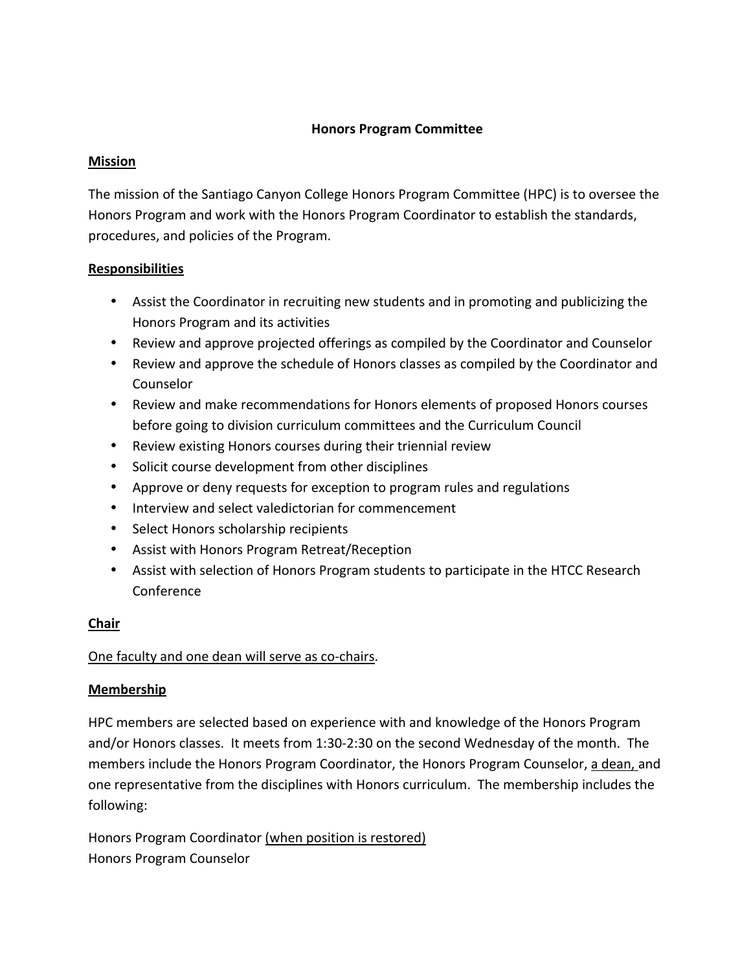#### **Honors Program Committee**

#### **Mission**

The mission of the Santiago Canyon College Honors Program Committee (HPC) is to oversee the Honors Program and work with the Honors Program Coordinator to establish the standards, procedures, and policies of the Program.

#### **Responsibilities**

- Assist the Coordinator in recruiting new students and in promoting and publicizing the Honors Program and its activities
- Review and approve projected offerings as compiled by the Coordinator and Counselor
- Review and approve the schedule of Honors classes as compiled by the Coordinator and Counselor
- Review and make recommendations for Honors elements of proposed Honors courses before going to division curriculum committees and the Curriculum Council
- Review existing Honors courses during their triennial review
- Solicit course development from other disciplines
- Approve or deny requests for exception to program rules and regulations
- Interview and select valedictorian for commencement
- Select Honors scholarship recipients
- Assist with Honors Program Retreat/Reception
- Assist with selection of Honors Program students to participate in the HTCC Research Conference

### Chair

### One faculty and one dean will serve as co-chairs.

#### **Membership**

HPC members are selected based on experience with and knowledge of the Honors Program and/or Honors classes. It meets from 1:30-2:30 on the second Wednesday of the month. The members include the Honors Program Coordinator, the Honors Program Counselor, a dean, and one representative from the disciplines with Honors curriculum. The membership includes the following:

Honors Program Coordinator (when position is restored) Honors Program Counselor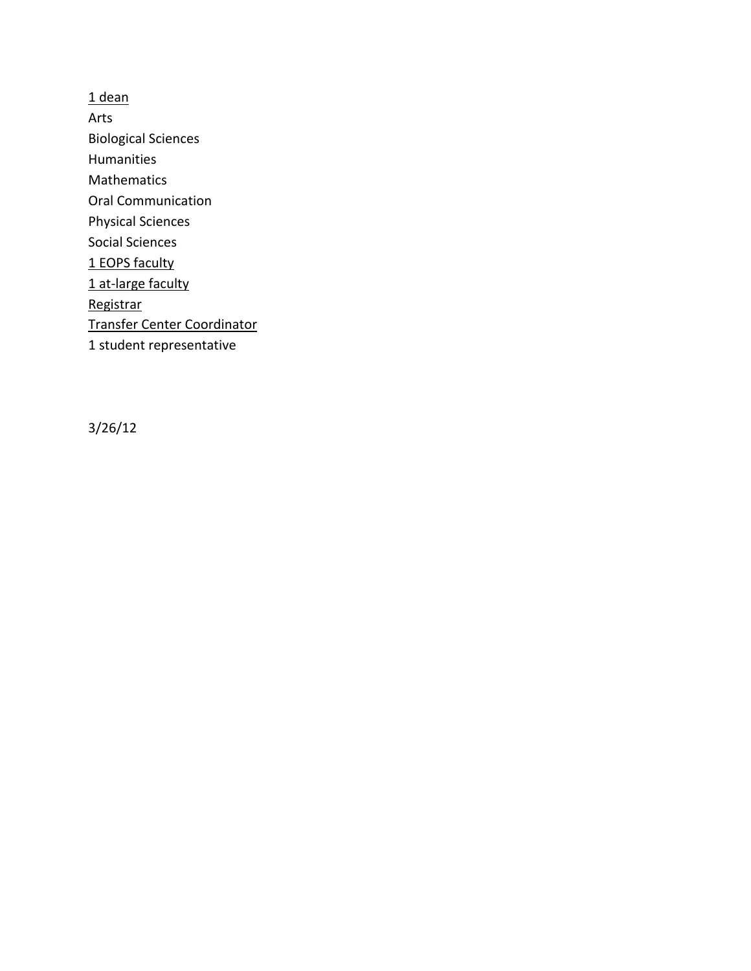$1$  dean Arts **Biological Sciences** Humanities Mathematics Oral Communication **Physical Sciences Social Sciences** 1 EOPS faculty 1 at-large faculty Registrar **Transfer Center Coordinator** 1 student representative

 $3/26/12$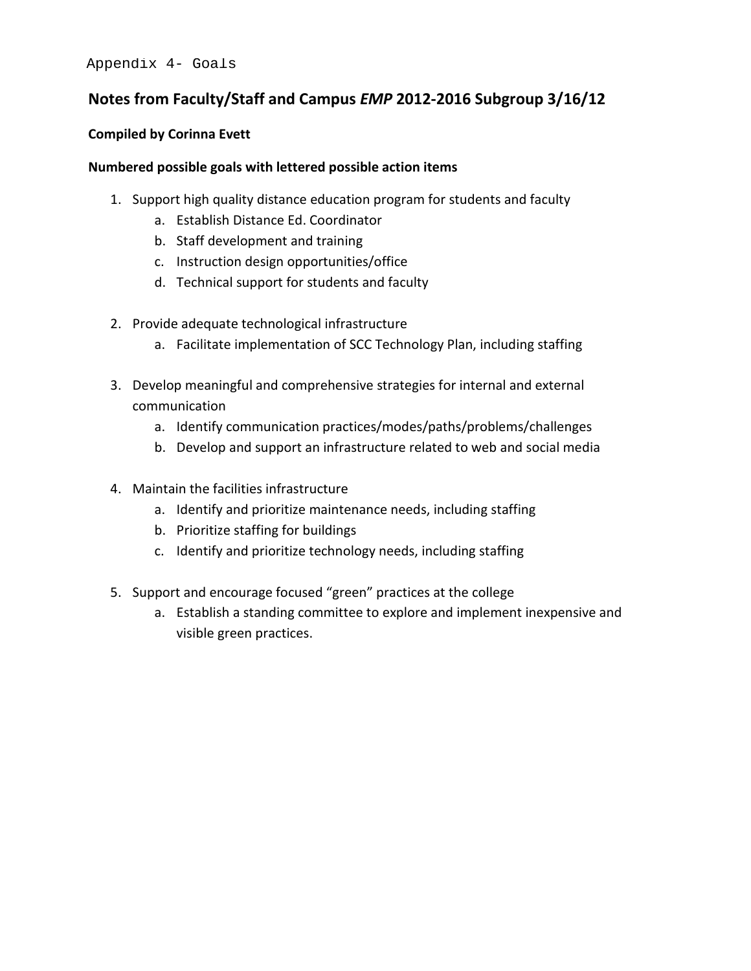# **Notes from Faculty/Staff and Campus** *EMP* **2012-2016 Subgroup 3/16/12**

#### **Compiled by Corinna Evett**

#### **Numbered possible goals with lettered possible action items**

- 1. Support high quality distance education program for students and faculty
	- a. Establish Distance Ed. Coordinator
	- b. Staff development and training
	- c. Instruction design opportunities/office
	- d. Technical support for students and faculty
- 2. Provide adequate technological infrastructure
	- a. Facilitate implementation of SCC Technology Plan, including staffing
- 3. Develop meaningful and comprehensive strategies for internal and external communication
	- a. Identify communication practices/modes/paths/problems/challenges
	- b. Develop and support an infrastructure related to web and social media
- 4. Maintain the facilities infrastructure
	- a. Identify and prioritize maintenance needs, including staffing
	- b. Prioritize staffing for buildings
	- c. Identify and prioritize technology needs, including staffing
- 5. Support and encourage focused "green" practices at the college
	- a. Establish a standing committee to explore and implement inexpensive and visible green practices.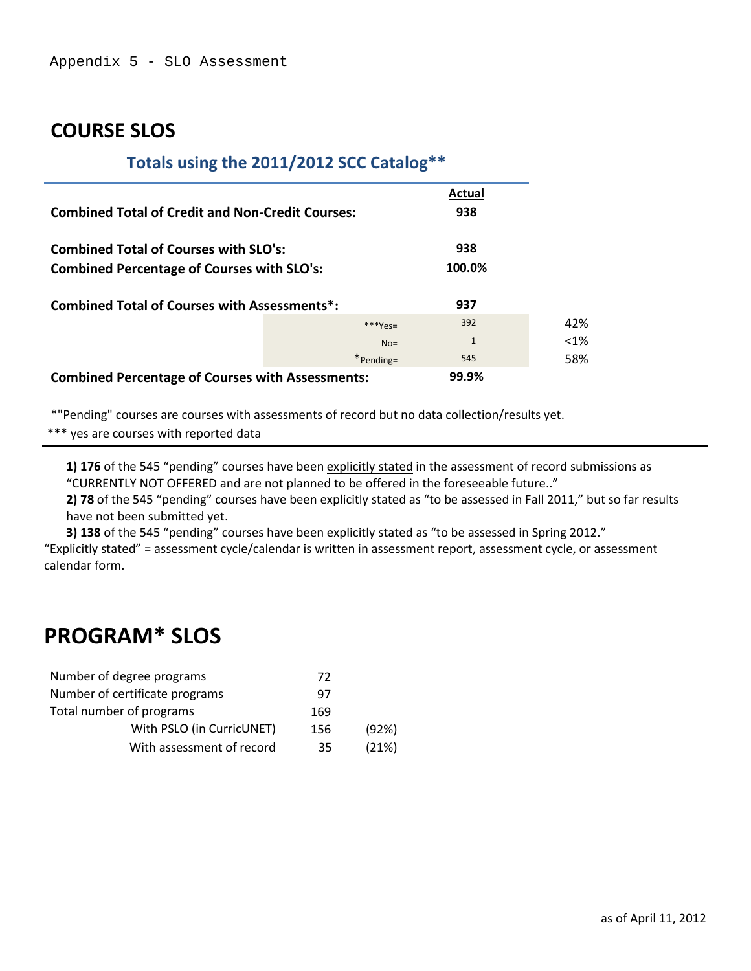# **COURSE SLOS**

# **Totals using the 2011/2012 SCC Catalog\*\***

|                                                         |              | Actual       |         |
|---------------------------------------------------------|--------------|--------------|---------|
| <b>Combined Total of Credit and Non-Credit Courses:</b> |              | 938          |         |
| <b>Combined Total of Courses with SLO's:</b>            |              | 938          |         |
| <b>Combined Percentage of Courses with SLO's:</b>       |              | 100.0%       |         |
| <b>Combined Total of Courses with Assessments*:</b>     |              | 937          |         |
|                                                         | $***Yes=$    | 392          | 42%     |
|                                                         | $No =$       | $\mathbf{1}$ | $< 1\%$ |
|                                                         | $*$ Pending= | 545          | 58%     |
| <b>Combined Percentage of Courses with Assessments:</b> |              | 99.9%        |         |

\*"Pending" courses are courses with assessments of record but no data collection/results yet.

\*\*\* yes are courses with reported data

**1) 176** of the 545 "pending" courses have been explicitly stated in the assessment of record submissions as "CURRENTLY NOT OFFERED and are not planned to be offered in the foreseeable future.."

**2) 78** of the 545 "pending" courses have been explicitly stated as "to be assessed in Fall 2011," but so far results have not been submitted yet.

**3) 138** of the 545 "pending" courses have been explicitly stated as "to be assessed in Spring 2012." "Explicitly stated" = assessment cycle/calendar is written in assessment report, assessment cycle, or assessment calendar form.

# **PROGRAM\* SLOS**

| Number of degree programs      | 72  |       |
|--------------------------------|-----|-------|
| Number of certificate programs | 97  |       |
| Total number of programs       | 169 |       |
| With PSLO (in CurricUNET)      | 156 | (92%) |
| With assessment of record      | 35  | (21%) |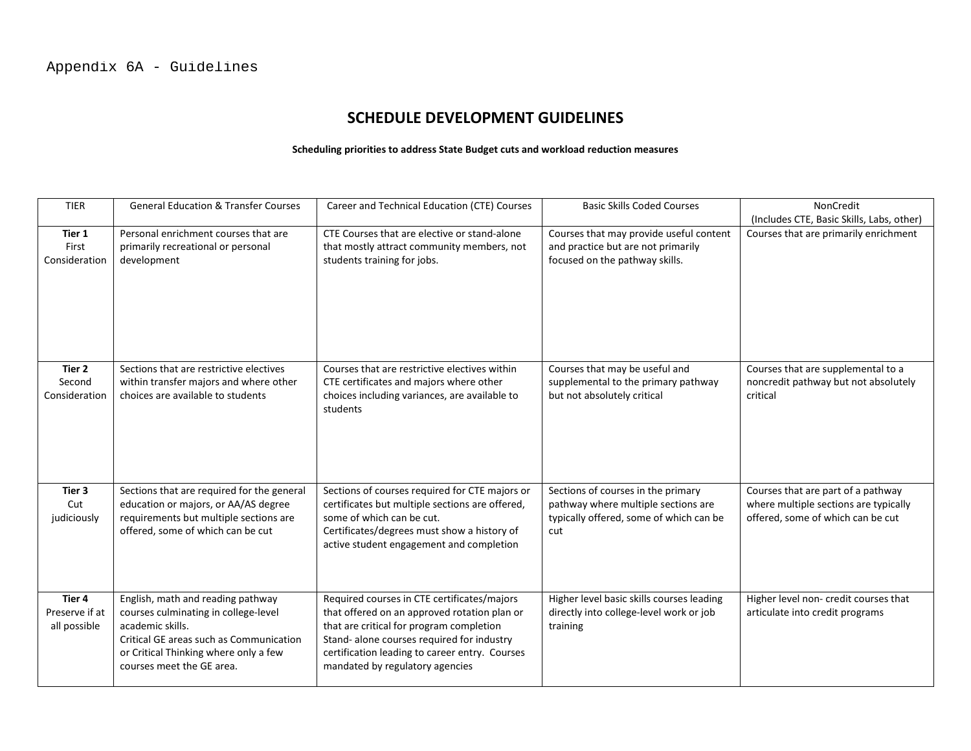# **SCHEDULE DEVELOPMENT GUIDELINES**

#### **Scheduling priorities to address State Budget cuts and workload reduction measures**

| <b>TIER</b>                              | <b>General Education &amp; Transfer Courses</b>                                                                                                                                                                | Career and Technical Education (CTE) Courses                                                                                                                                                                                                                               | <b>Basic Skills Coded Courses</b>                                                                                           | <b>NonCredit</b>                                                                                                 |
|------------------------------------------|----------------------------------------------------------------------------------------------------------------------------------------------------------------------------------------------------------------|----------------------------------------------------------------------------------------------------------------------------------------------------------------------------------------------------------------------------------------------------------------------------|-----------------------------------------------------------------------------------------------------------------------------|------------------------------------------------------------------------------------------------------------------|
|                                          |                                                                                                                                                                                                                |                                                                                                                                                                                                                                                                            |                                                                                                                             | (Includes CTE, Basic Skills, Labs, other)                                                                        |
| Tier 1<br>First<br>Consideration         | Personal enrichment courses that are<br>primarily recreational or personal<br>development                                                                                                                      | CTE Courses that are elective or stand-alone<br>that mostly attract community members, not<br>students training for jobs.                                                                                                                                                  | Courses that may provide useful content<br>and practice but are not primarily<br>focused on the pathway skills.             | Courses that are primarily enrichment                                                                            |
| Tier 2<br>Second<br>Consideration        | Sections that are restrictive electives<br>within transfer majors and where other<br>choices are available to students                                                                                         | Courses that are restrictive electives within<br>CTE certificates and majors where other<br>choices including variances, are available to<br>students                                                                                                                      | Courses that may be useful and<br>supplemental to the primary pathway<br>but not absolutely critical                        | Courses that are supplemental to a<br>noncredit pathway but not absolutely<br>critical                           |
| Tier 3<br>Cut<br>judiciously             | Sections that are required for the general<br>education or majors, or AA/AS degree<br>requirements but multiple sections are<br>offered, some of which can be cut                                              | Sections of courses required for CTE majors or<br>certificates but multiple sections are offered,<br>some of which can be cut.<br>Certificates/degrees must show a history of<br>active student engagement and completion                                                  | Sections of courses in the primary<br>pathway where multiple sections are<br>typically offered, some of which can be<br>cut | Courses that are part of a pathway<br>where multiple sections are typically<br>offered, some of which can be cut |
| Tier 4<br>Preserve if at<br>all possible | English, math and reading pathway<br>courses culminating in college-level<br>academic skills.<br>Critical GE areas such as Communication<br>or Critical Thinking where only a few<br>courses meet the GE area. | Required courses in CTE certificates/majors<br>that offered on an approved rotation plan or<br>that are critical for program completion<br>Stand- alone courses required for industry<br>certification leading to career entry. Courses<br>mandated by regulatory agencies | Higher level basic skills courses leading<br>directly into college-level work or job<br>training                            | Higher level non- credit courses that<br>articulate into credit programs                                         |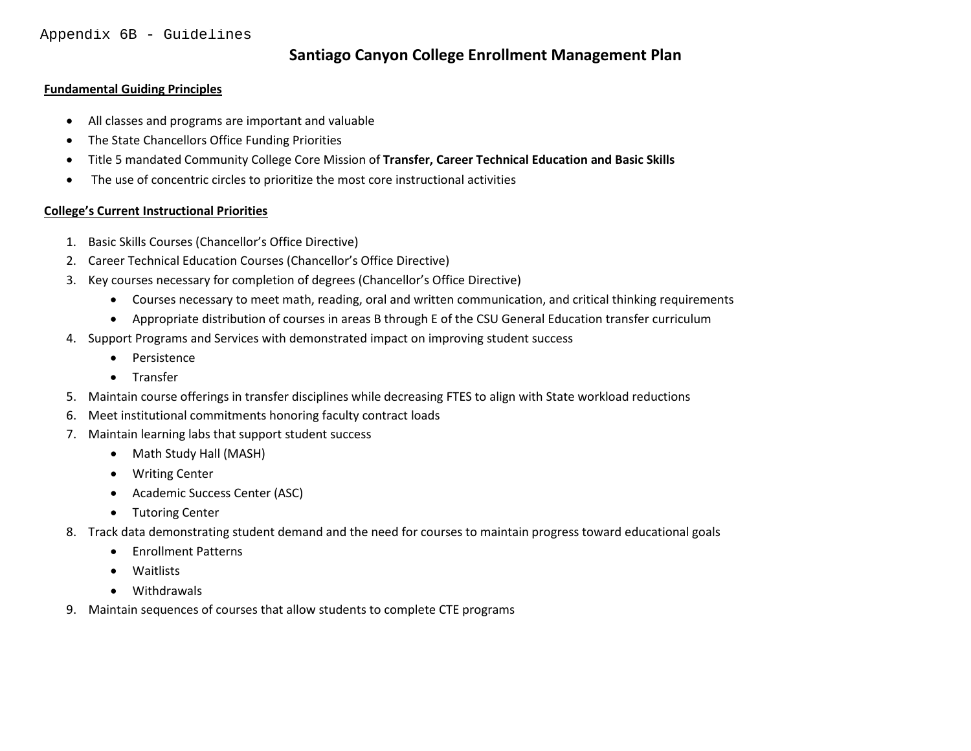### **Santiago Canyon College Enrollment Management Plan**

#### **Fundamental Guiding Principles**

- All classes and programs are important and valuable
- The State Chancellors Office Funding Priorities
- Title 5 mandated Community College Core Mission of **Transfer, Career Technical Education and Basic Skills**
- The use of concentric circles to prioritize the most core instructional activities

#### **College's Current Instructional Priorities**

- 1. Basic Skills Courses (Chancellor's Office Directive)
- 2. Career Technical Education Courses (Chancellor's Office Directive)
- 3. Key courses necessary for completion of degrees (Chancellor's Office Directive)
	- Courses necessary to meet math, reading, oral and written communication, and critical thinking requirements
	- Appropriate distribution of courses in areas B through E of the CSU General Education transfer curriculum
- 4. Support Programs and Services with demonstrated impact on improving student success
	- Persistence
	- Transfer
- 5. Maintain course offerings in transfer disciplines while decreasing FTES to align with State workload reductions
- 6. Meet institutional commitments honoring faculty contract loads
- 7. Maintain learning labs that support student success
	- Math Study Hall (MASH)
	- Writing Center
	- Academic Success Center (ASC)
	- Tutoring Center
- 8. Track data demonstrating student demand and the need for courses to maintain progress toward educational goals
	- Enrollment Patterns
	- Waitlists
	- Withdrawals
- 9. Maintain sequences of courses that allow students to complete CTE programs